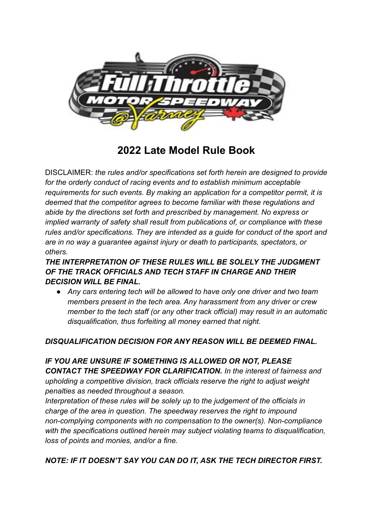

**2022 Late Model Rule Book**

DISCLAIMER: *the rules and/or specifications set forth herein are designed to provide for the orderly conduct of racing events and to establish minimum acceptable requirements for such events. By making an application for a competitor permit, it is deemed that the competitor agrees to become familiar with these regulations and abide by the directions set forth and prescribed by management. No express or implied warranty of safety shall result from publications of, or compliance with these rules and/or specifications. They are intended as a guide for conduct of the sport and are in no way a guarantee against injury or death to participants, spectators, or others.*

*THE INTERPRETATION OF THESE RULES WILL BE SOLELY THE JUDGMENT OF THE TRACK OFFICIALS AND TECH STAFF IN CHARGE AND THEIR DECISION WILL BE FINAL.*

*● Any cars entering tech will be allowed to have only one driver and two team members present in the tech area. Any harassment from any driver or crew member to the tech staff (or any other track official) may result in an automatic disqualification, thus forfeiting all money earned that night.*

## *DISQUALIFICATION DECISION FOR ANY REASON WILL BE DEEMED FINAL.*

## *IF YOU ARE UNSURE IF SOMETHING IS ALLOWED OR NOT, PLEASE CONTACT THE SPEEDWAY FOR CLARIFICATION. In the interest of fairness and upholding a competitive division, track officials reserve the right to adjust weight penalties as needed throughout a season.*

*Interpretation of these rules will be solely up to the judgement of the officials in charge of the area in question. The speedway reserves the right to impound non-complying components with no compensation to the owner(s). Non-compliance with the specifications outlined herein may subject violating teams to disqualification, loss of points and monies, and/or a fine.*

## *NOTE: IF IT DOESN'T SAY YOU CAN DO IT, ASK THE TECH DIRECTOR FIRST.*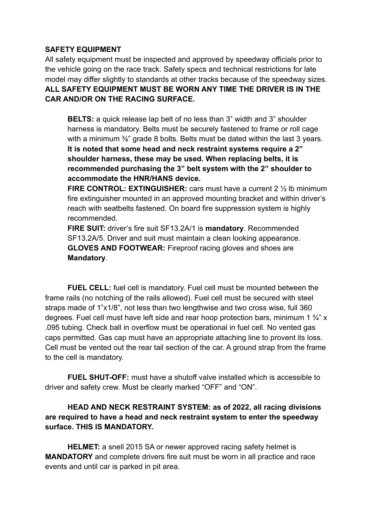### **SAFETY EQUIPMENT**

All safety equipment must be inspected and approved by speedway officials prior to the vehicle going on the race track. Safety specs and technical restrictions for late model may differ slightly to standards at other tracks because of the speedway sizes. **ALL SAFETY EQUIPMENT MUST BE WORN ANY TIME THE DRIVER IS IN THE CAR AND/OR ON THE RACING SURFACE.**

**BELTS:** a quick release lap belt of no less than 3" width and 3" shoulder harness is mandatory. Belts must be securely fastened to frame or roll cage with a minimum  $\frac{3}{8}$ " grade 8 bolts. Belts must be dated within the last 3 years. **It is noted that some head and neck restraint systems require a 2" shoulder harness, these may be used. When replacing belts, it is recommended purchasing the 3" belt system with the 2" shoulder to accommodate the HNR/HANS device.**

**FIRE CONTROL: EXTINGUISHER:** cars must have a current 2 ½ lb minimum fire extinguisher mounted in an approved mounting bracket and within driver's reach with seatbelts fastened. On board fire suppression system is highly recommended.

**FIRE SUIT:** driver's fire suit SF13.2A/1 is **mandatory**. Recommended SF13.2A/5. Driver and suit must maintain a clean looking appearance. **GLOVES AND FOOTWEAR:** Fireproof racing gloves and shoes are **Mandatory**.

**FUEL CELL:** fuel cell is mandatory. Fuel cell must be mounted between the frame rails (no notching of the rails allowed). Fuel cell must be secured with steel straps made of 1"x1/8", not less than two lengthwise and two cross wise, full 360 degrees. Fuel cell must have left side and rear hoop protection bars, minimum 1 ¾" x .095 tubing. Check ball in overflow must be operational in fuel cell. No vented gas caps permitted. Gas cap must have an appropriate attaching line to provent its loss. Cell must be vented out the rear tail section of the car. A ground strap from the frame to the cell is mandatory.

**FUEL SHUT-OFF:** must have a shutoff valve installed which is accessible to driver and safety crew. Must be clearly marked "OFF" and "ON".

## **HEAD AND NECK RESTRAINT SYSTEM: as of 2022, all racing divisions are required to have a head and neck restraint system to enter the speedway surface. THIS IS MANDATORY.**

**HELMET:** a snell 2015 SA or newer approved racing safety helmet is **MANDATORY** and complete drivers fire suit must be worn in all practice and race events and until car is parked in pit area.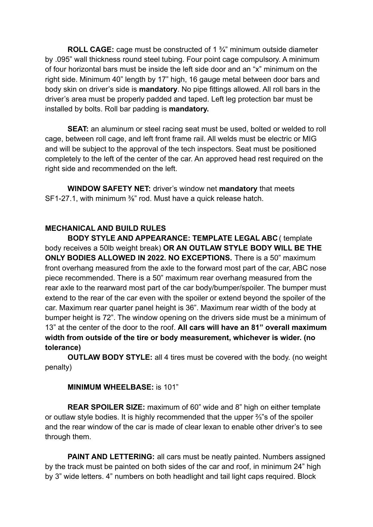**ROLL CAGE:** cage must be constructed of 1 ¾" minimum outside diameter by .095" wall thickness round steel tubing. Four point cage compulsory. A minimum of four horizontal bars must be inside the left side door and an "x" minimum on the right side. Minimum 40" length by 17" high, 16 gauge metal between door bars and body skin on driver's side is **mandatory**. No pipe fittings allowed. All roll bars in the driver's area must be properly padded and taped. Left leg protection bar must be installed by bolts. Roll bar padding is **mandatory.**

**SEAT:** an aluminum or steel racing seat must be used, bolted or welded to roll cage, between roll cage, and left front frame rail. All welds must be electric or MIG and will be subject to the approval of the tech inspectors. Seat must be positioned completely to the left of the center of the car. An approved head rest required on the right side and recommended on the left.

**WINDOW SAFETY NET:** driver's window net **mandatory** that meets SF1-27.1, with minimum <sup>3</sup>/<sub>8</sub>" rod. Must have a quick release hatch.

## **MECHANICAL AND BUILD RULES**

**BODY STYLE AND APPEARANCE: TEMPLATE LEGAL ABC** ( template body receives a 50lb weight break) **OR AN OUTLAW STYLE BODY WILL BE THE ONLY BODIES ALLOWED IN 2022. NO EXCEPTIONS.** There is a 50" maximum front overhang measured from the axle to the forward most part of the car, ABC nose piece recommended. There is a 50" maximum rear overhang measured from the rear axle to the rearward most part of the car body/bumper/spoiler. The bumper must extend to the rear of the car even with the spoiler or extend beyond the spoiler of the car. Maximum rear quarter panel height is 36". Maximum rear width of the body at bumper height is 72". The window opening on the drivers side must be a minimum of 13" at the center of the door to the roof. **All cars will have an 81" overall maximum width from outside of the tire or body measurement, whichever is wider. (no tolerance)**

**OUTLAW BODY STYLE:** all 4 tires must be covered with the body. (no weight penalty)

#### **MINIMUM WHEELBASE:** is 101"

**REAR SPOILER SIZE:** maximum of 60" wide and 8" high on either template or outlaw style bodies. It is highly recommended that the upper ⅔"s of the spoiler and the rear window of the car is made of clear lexan to enable other driver's to see through them.

**PAINT AND LETTERING:** all cars must be neatly painted. Numbers assigned by the track must be painted on both sides of the car and roof, in minimum 24" high by 3" wide letters. 4" numbers on both headlight and tail light caps required. Block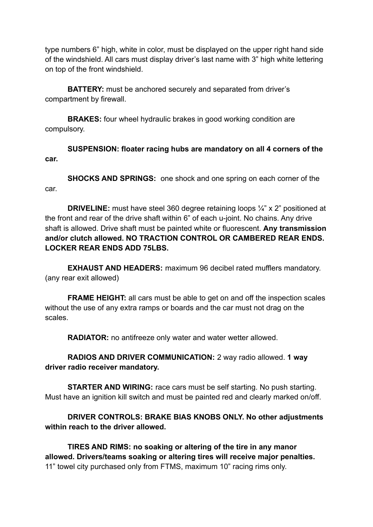type numbers 6" high, white in color, must be displayed on the upper right hand side of the windshield. All cars must display driver's last name with 3" high white lettering on top of the front windshield.

**BATTERY:** must be anchored securely and separated from driver's compartment by firewall.

**BRAKES:** four wheel hydraulic brakes in good working condition are compulsory.

**SUSPENSION: floater racing hubs are mandatory on all 4 corners of the car.**

**SHOCKS AND SPRINGS:** one shock and one spring on each corner of the car.

**DRIVELINE:** must have steel 360 degree retaining loops ¼" x 2" positioned at the front and rear of the drive shaft within 6" of each u-joint. No chains. Any drive shaft is allowed. Drive shaft must be painted white or fluorescent. **Any transmission and/or clutch allowed. NO TRACTION CONTROL OR CAMBERED REAR ENDS. LOCKER REAR ENDS ADD 75LBS.**

**EXHAUST AND HEADERS:** maximum 96 decibel rated mufflers mandatory. (any rear exit allowed)

**FRAME HEIGHT:** all cars must be able to get on and off the inspection scales without the use of any extra ramps or boards and the car must not drag on the scales.

**RADIATOR:** no antifreeze only water and water wetter allowed.

**RADIOS AND DRIVER COMMUNICATION:** 2 way radio allowed. **1 way driver radio receiver mandatory.**

**STARTER AND WIRING:** race cars must be self starting. No push starting. Must have an ignition kill switch and must be painted red and clearly marked on/off.

**DRIVER CONTROLS: BRAKE BIAS KNOBS ONLY. No other adjustments within reach to the driver allowed.**

**TIRES AND RIMS: no soaking or altering of the tire in any manor allowed. Drivers/teams soaking or altering tires will receive major penalties.** 11" towel city purchased only from FTMS, maximum 10" racing rims only.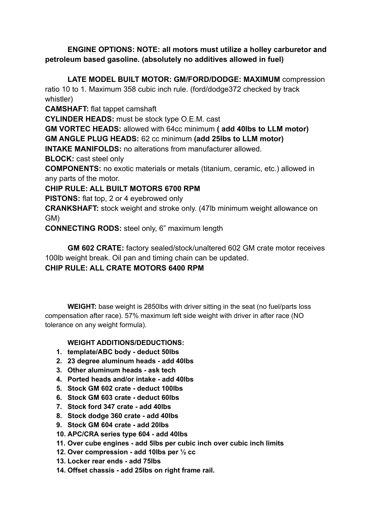## **ENGINE OPTIONS: NOTE: all motors must utilize a holley carburetor and petroleum based gasoline. (absolutely no additives allowed in fuel)**

**LATE MODEL BUILT MOTOR: GM/FORD/DODGE: MAXIMUM** compression ratio 10 to 1. Maximum 358 cubic inch rule. (ford/dodge372 checked by track whistler)

**CAMSHAFT:** flat tappet camshaft

**CYLINDER HEADS:** must be stock type O.E.M. cast

**GM VORTEC HEADS:** allowed with 64cc minimum **( add 40lbs to LLM motor) GM ANGLE PLUG HEADS:** 62 cc minimum **(add 25lbs to LLM motor)**

**INTAKE MANIFOLDS:** no alterations from manufacturer allowed.

**BLOCK:** cast steel only

**COMPONENTS:** no exotic materials or metals (titanium, ceramic, etc.) allowed in any parts of the motor.

## **CHIP RULE: ALL BUILT MOTORS 6700 RPM**

**PISTONS:** flat top, 2 or 4 eyebrowed only

**CRANKSHAFT:** stock weight and stroke only. (47lb minimum weight allowance on GM)

**CONNECTING RODS:** steel only, 6" maximum length

**GM 602 CRATE:** factory sealed/stock/unaltered 602 GM crate motor receives 100lb weight break. Oil pan and timing chain can be updated.

# **CHIP RULE: ALL CRATE MOTORS 6400 RPM**

**WEIGHT:** base weight is 2850lbs with driver sitting in the seat (no fuel/parts loss compensation after race). 57% maximum left side weight with driver in after race (NO tolerance on any weight formula).

## **WEIGHT ADDITIONS/DEDUCTIONS:**

- **1. template/ABC body - deduct 50lbs**
- **2. 23 degree aluminum heads - add 40lbs**
- **3. Other aluminum heads - ask tech**
- **4. Ported heads and/or intake - add 40lbs**
- **5. Stock GM 602 crate - deduct 100lbs**
- **6. Stock GM 603 crate - deduct 60lbs**
- **7. Stock ford 347 crate - add 40lbs**
- **8. Stock dodge 360 crate - add 40lbs**
- **9. Stock GM 604 crate - add 20lbs**
- **10. APC/CRA series type 604 - add 40lbs**
- **11. Over cube engines - add 5lbs per cubic inch over cubic inch limits**
- **12. Over compression - add 10lbs per ½ cc**
- **13. Locker rear ends - add 75lbs**
- **14. Offset chassis - add 25lbs on right frame rail.**